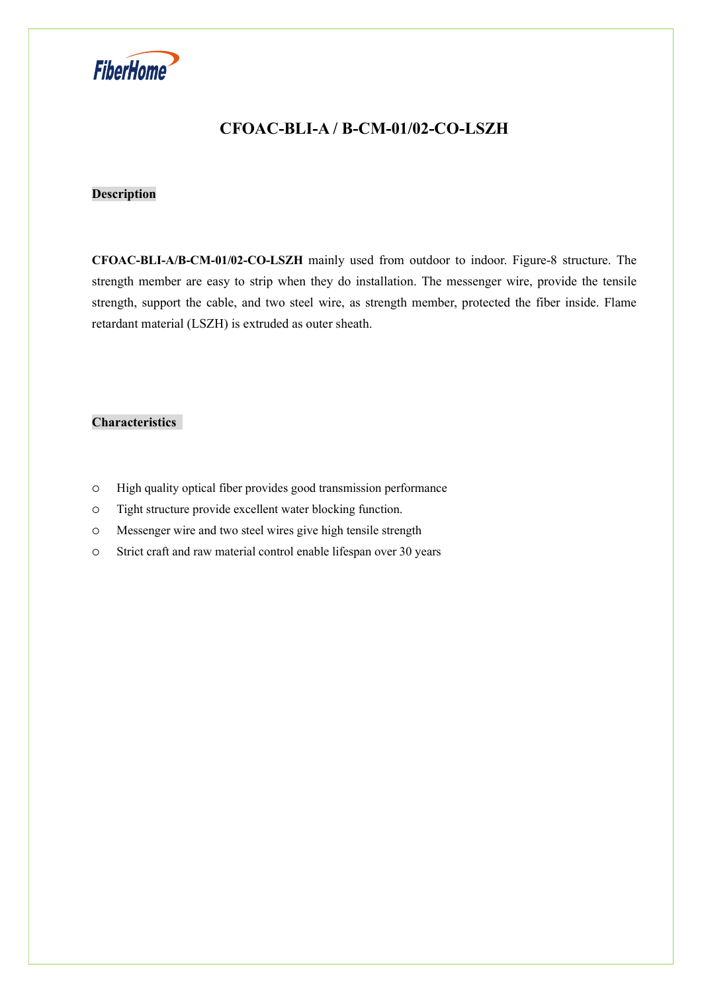

## CFOAC-BLI-A / B-CM-01/02-CO-LSZH

#### Description

CFOAC-BLI-A/B-CM-01/02-CO-LSZH mainly used from outdoor to indoor. Figure-8 structure. The strength member are easy to strip when they do installation. The messenger wire, provide the tensile strength, support the cable, and two steel wire, as strength member, protected the fiber inside. Flame retardant material (LSZH) is extruded as outer sheath.

#### **Characteristics**

- High quality optical fiber provides good transmission performance
- Tight structure provide excellent water blocking function.
- Messenger wire and two steel wires give high tensile strength
- Strict craft and raw material control enable lifespan over 30 years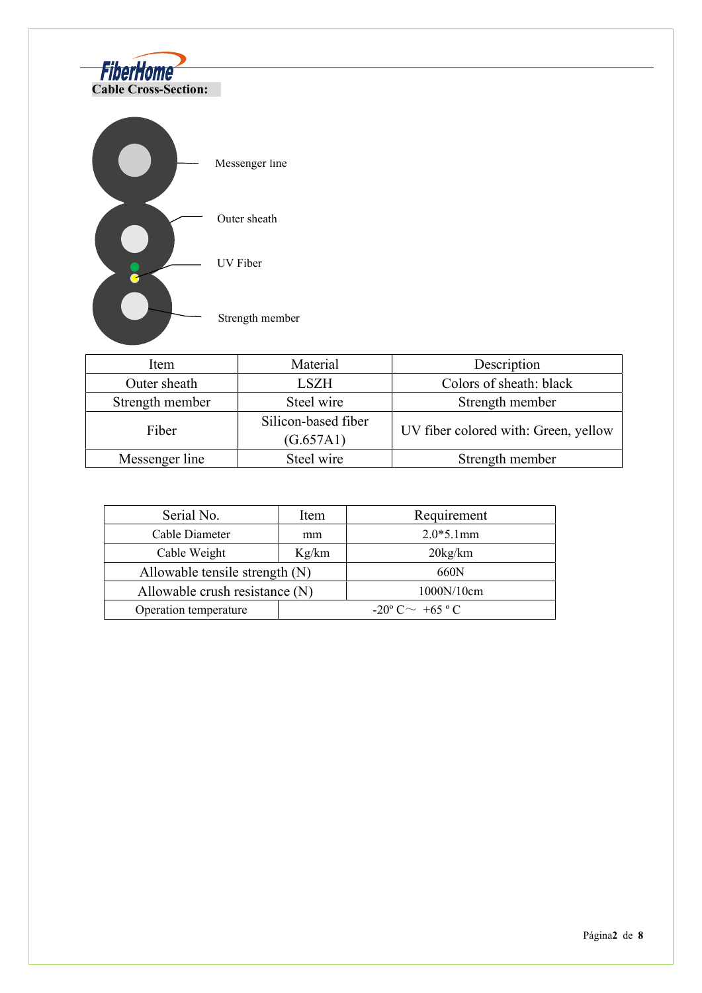



| Item            | Material                         | Description                          |  |
|-----------------|----------------------------------|--------------------------------------|--|
| Outer sheath    | <b>LSZH</b>                      | Colors of sheath: black              |  |
| Strength member | Steel wire                       | Strength member                      |  |
| Fiber           | Silicon-based fiber<br>(G.657A1) | UV fiber colored with: Green, yellow |  |
| Messenger line  | Steel wire                       | Strength member                      |  |

| Serial No.                       | Item                                 | Requirement      |
|----------------------------------|--------------------------------------|------------------|
| Cable Diameter                   | mm                                   | $2.0*5.1mm$      |
| Cable Weight                     | Kg/km                                | $20\text{kg/km}$ |
| Allowable tensile strength $(N)$ |                                      | 660N             |
| Allowable crush resistance (N)   |                                      | 1000N/10cm       |
| Operation temperature            | $-20^{\circ}$ C $\sim +65^{\circ}$ C |                  |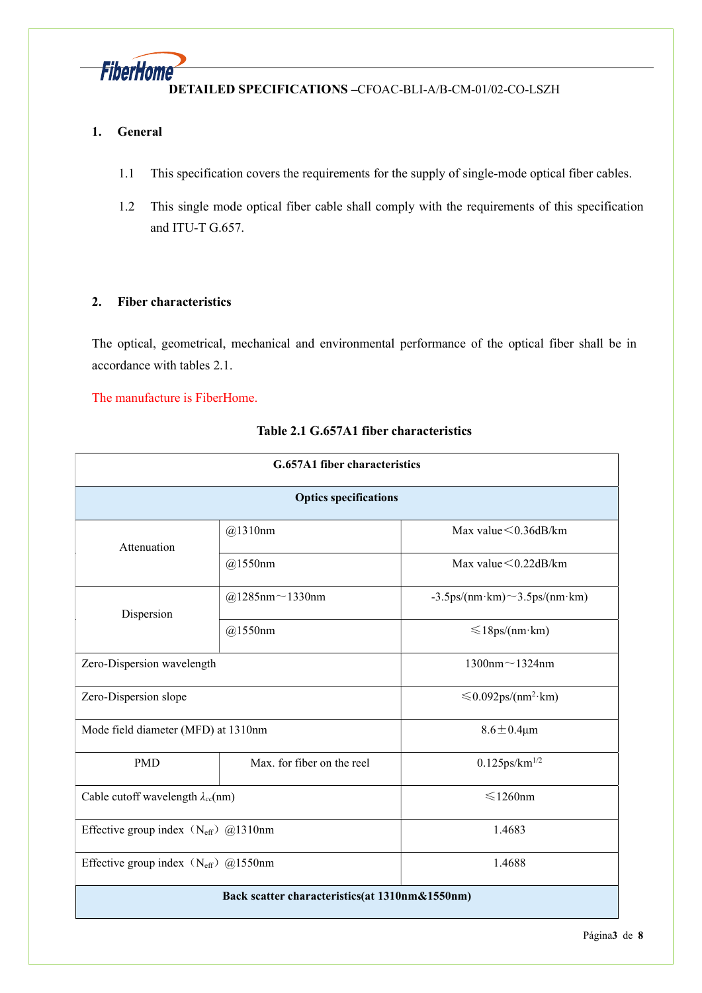

#### DETAILED SPECIFICATIONS –CFOAC-BLI-A/B-CM-01/02-CO-LSZH

#### 1. General

- 1.1 This specification covers the requirements for the supply of single-mode optical fiber cables.
- 1.2 This single mode optical fiber cable shall comply with the requirements of this specification and ITU-T G.657.

#### 2. Fiber characteristics

The optical, geometrical, mechanical and environmental performance of the optical fiber shall be in accordance with tables 2.1.

The manufacture is FiberHome.

| G.657A1 fiber characteristics                    |                            |                                               |  |
|--------------------------------------------------|----------------------------|-----------------------------------------------|--|
| <b>Optics specifications</b>                     |                            |                                               |  |
| Attenuation                                      | @1310nm                    | Max value $<$ 0.36dB/km                       |  |
|                                                  | @1550nm                    | Max value $< 0.22$ dB/km                      |  |
| Dispersion                                       | @1285nm~1330nm             | $-3.5$ ps/(nm·km) $\sim$ 3.5ps/(nm·km)        |  |
|                                                  | @1550nm                    | $\leq$ 18ps/(nm·km)                           |  |
| Zero-Dispersion wavelength                       |                            | $1300$ nm $\sim$ 1324nm                       |  |
| Zero-Dispersion slope                            |                            | $\leq 0.092 \text{ps/(nm}^2 \cdot \text{km})$ |  |
| Mode field diameter (MFD) at 1310nm              |                            | $8.6 \pm 0.4 \mu m$                           |  |
| <b>PMD</b>                                       | Max. for fiber on the reel | $0.125$ ps/km $^{1/2}$                        |  |
| Cable cutoff wavelength $\lambda_{cc}$ (nm)      |                            | $\leq 1260$ nm                                |  |
| Effective group index $(N_{\text{eff}})$ @1310nm |                            | 1.4683                                        |  |
| Effective group index $(N_{\text{eff}})$ @1550nm |                            | 1.4688                                        |  |
| Back scatter characteristics(at 1310nm&1550nm)   |                            |                                               |  |

## Table 2.1 G.657A1 fiber characteristics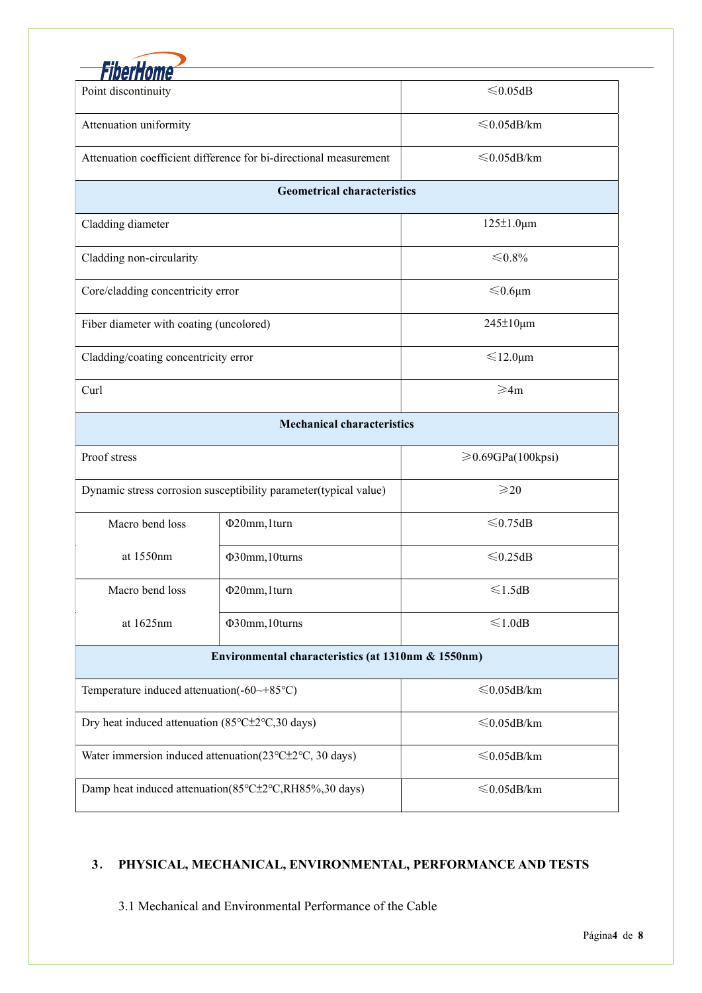| Point discontinuity                                              |                                                                   | ≤0.05dB                  |  |  |
|------------------------------------------------------------------|-------------------------------------------------------------------|--------------------------|--|--|
| Attenuation uniformity                                           |                                                                   | ≤0.05dB/km               |  |  |
|                                                                  | Attenuation coefficient difference for bi-directional measurement | $≤ 0.05$ dB/km           |  |  |
|                                                                  | <b>Geometrical characteristics</b>                                |                          |  |  |
| Cladding diameter                                                |                                                                   | $125 \pm 1.0 \,\mu m$    |  |  |
| Cladding non-circularity                                         |                                                                   | ≤ 0.8%                   |  |  |
| Core/cladding concentricity error                                |                                                                   | ≤ 0.6μm                  |  |  |
| Fiber diameter with coating (uncolored)                          |                                                                   | 245±10µm                 |  |  |
| Cladding/coating concentricity error                             |                                                                   | ≤12.0μm                  |  |  |
| Curl                                                             |                                                                   | $\geqslant$ 4m           |  |  |
|                                                                  | <b>Mechanical characteristics</b>                                 |                          |  |  |
| Proof stress                                                     |                                                                   | $\geq 0.69$ GPa(100kpsi) |  |  |
| Dynamic stress corrosion susceptibility parameter(typical value) |                                                                   | $\geqslant$ 20           |  |  |
| Macro bend loss                                                  | Φ20mm, 1 turn                                                     | ≤0.75dB                  |  |  |
| at 1550nm                                                        | Φ30mm, 10turns                                                    | ≤0.25dB                  |  |  |
| Macro bend loss                                                  | Φ20mm, 1turn                                                      | ≤1.5dB                   |  |  |
| at 1625nm                                                        | Φ30mm, 10turns                                                    | ≤1.0dB                   |  |  |
| Environmental characteristics (at 1310nm & 1550nm)               |                                                                   |                          |  |  |
| Temperature induced attenuation(-60~+85°C)                       |                                                                   | $≤ 0.05$ dB/km           |  |  |
| Dry heat induced attenuation (85°C±2°C,30 days)                  |                                                                   | $≤ 0.05$ dB/km           |  |  |
| Water immersion induced attenuation(23°C±2°C, 30 days)           |                                                                   | $≤ 0.05$ dB/km           |  |  |
| Damp heat induced attenuation(85°C±2°C,RH85%,30 days)            |                                                                   | $≤ 0.05$ dB/km           |  |  |
|                                                                  |                                                                   |                          |  |  |

# 3. PHYSICAL, MECHANICAL, ENVIRONMENTAL, PERFORMANCE AND TESTS

3.1 Mechanical and Environmental Performance of the Cable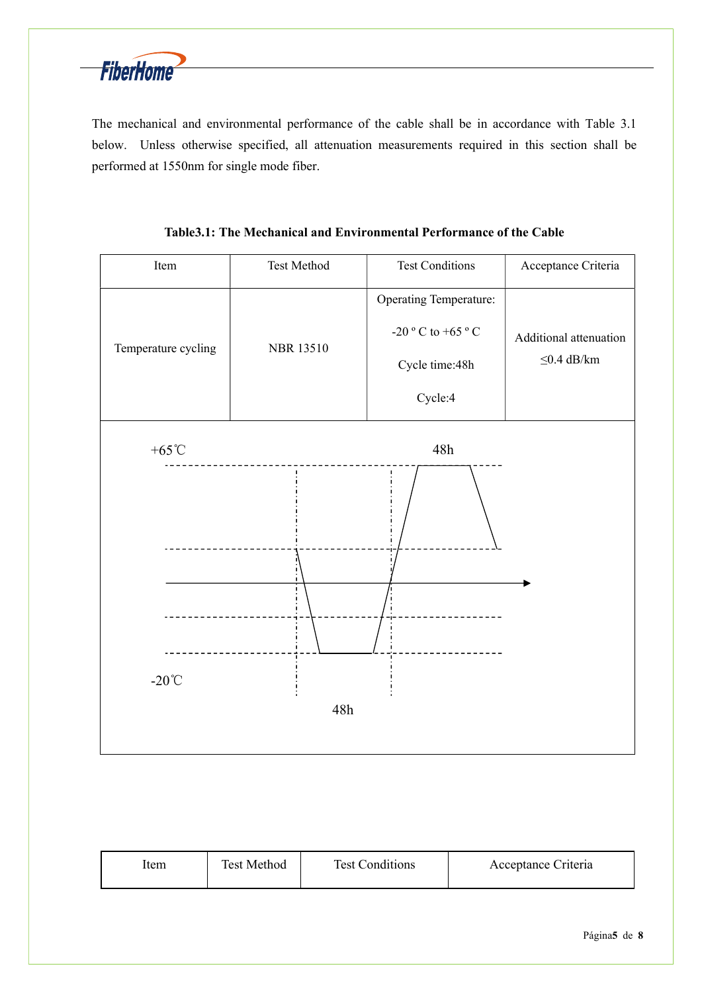

The mechanical and environmental performance of the cable shall be in accordance with Table 3.1 below. Unless otherwise specified, all attenuation measurements required in this section shall be performed at 1550nm for single mode fiber.

| <b>NBR 13510</b> | <b>Operating Temperature:</b><br>-20 $^{\rm o}$ C to +65 $^{\rm o}$ C<br>Cycle time: 48h<br>Cycle:4 | Additional attenuation<br>${\leq}0.4$ dB/km |
|------------------|-----------------------------------------------------------------------------------------------------|---------------------------------------------|
|                  | $48\mathrm{h}$                                                                                      |                                             |
| 48h              |                                                                                                     |                                             |
|                  |                                                                                                     |                                             |

Table3.1: The Mechanical and Environmental Performance of the Cable

| <b>Test Method</b><br>item | <b>Test Conditions</b> | Acceptance Criteria |
|----------------------------|------------------------|---------------------|
|----------------------------|------------------------|---------------------|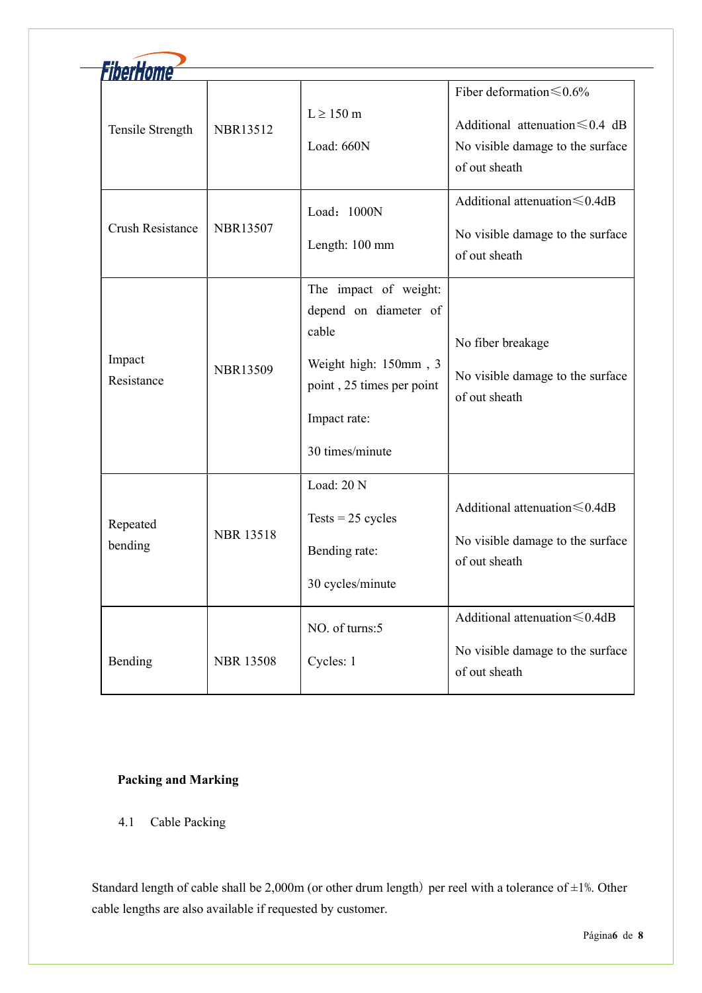| FiberHome               |                  |                                                                                                                                                  |                                                                                                                             |
|-------------------------|------------------|--------------------------------------------------------------------------------------------------------------------------------------------------|-----------------------------------------------------------------------------------------------------------------------------|
| Tensile Strength        | <b>NBR13512</b>  | $L \ge 150$ m<br>Load: 660N                                                                                                                      | Fiber deformation $\leq 0.6\%$<br>Additional attenuation $\leq 0.4$ dB<br>No visible damage to the surface<br>of out sheath |
| <b>Crush Resistance</b> | <b>NBR13507</b>  | Load: 1000N<br>Length: 100 mm                                                                                                                    | Additional attenuation $\leq 0.4$ dB<br>No visible damage to the surface<br>of out sheath                                   |
| Impact<br>Resistance    | <b>NBR13509</b>  | The impact of weight:<br>depend on diameter of<br>cable<br>Weight high: 150mm, 3<br>point, 25 times per point<br>Impact rate:<br>30 times/minute | No fiber breakage<br>No visible damage to the surface<br>of out sheath                                                      |
| Repeated<br>bending     | <b>NBR 13518</b> | Load: 20 N<br>Tests = $25$ cycles<br>Bending rate:<br>30 cycles/minute                                                                           | Additional attenuation $\leq 0.4$ dB<br>No visible damage to the surface<br>of out sheath                                   |
| Bending                 | <b>NBR 13508</b> | NO. of turns:5<br>Cycles: 1                                                                                                                      | Additional attenuation $\leq 0.4$ dB<br>No visible damage to the surface<br>of out sheath                                   |

### Packing and Marking

4.1 Cable Packing

Standard length of cable shall be  $2,000$ m (or other drum length) per reel with a tolerance of  $\pm 1$ %. Other cable lengths are also available if requested by customer.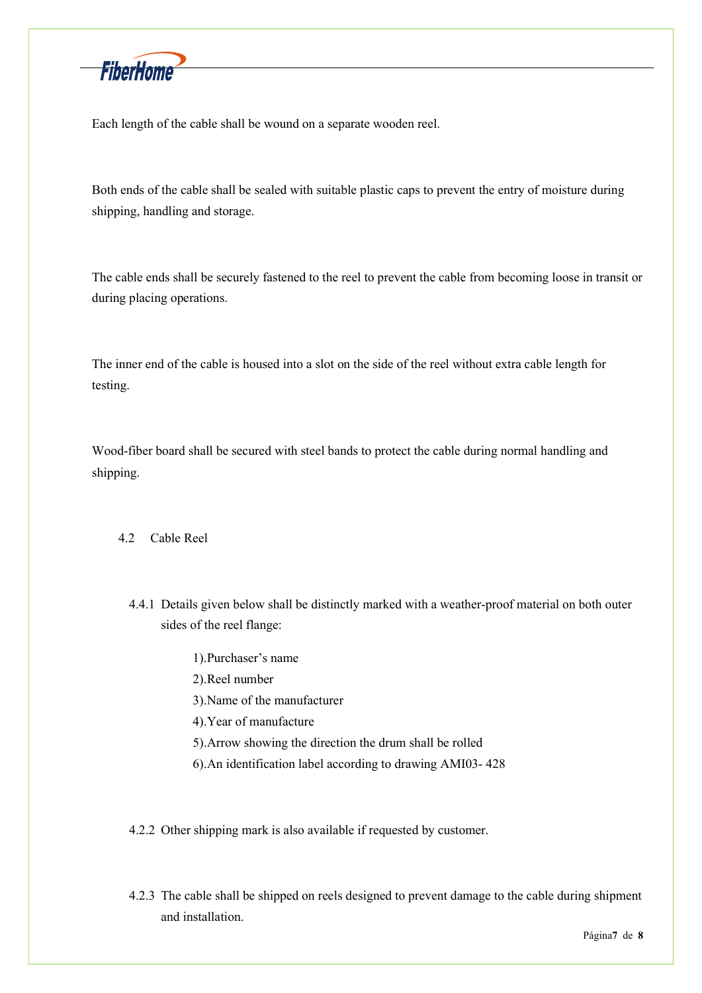

Each length of the cable shall be wound on a separate wooden reel.

Both ends of the cable shall be sealed with suitable plastic caps to prevent the entry of moisture during shipping, handling and storage.

The cable ends shall be securely fastened to the reel to prevent the cable from becoming loose in transit or during placing operations.

The inner end of the cable is housed into a slot on the side of the reel without extra cable length for testing.

Wood-fiber board shall be secured with steel bands to protect the cable during normal handling and shipping.

## 4.2 Cable Reel

- 4.4.1 Details given below shall be distinctly marked with a weather-proof material on both outer sides of the reel flange:
	- 1).Purchaser's name
	- 2).Reel number
	- 3).Name of the manufacturer
	- 4).Year of manufacture
	- 5).Arrow showing the direction the drum shall be rolled
	- 6).An identification label according to drawing AMI03- 428

4.2.2 Other shipping mark is also available if requested by customer.

4.2.3 The cable shall be shipped on reels designed to prevent damage to the cable during shipment and installation.